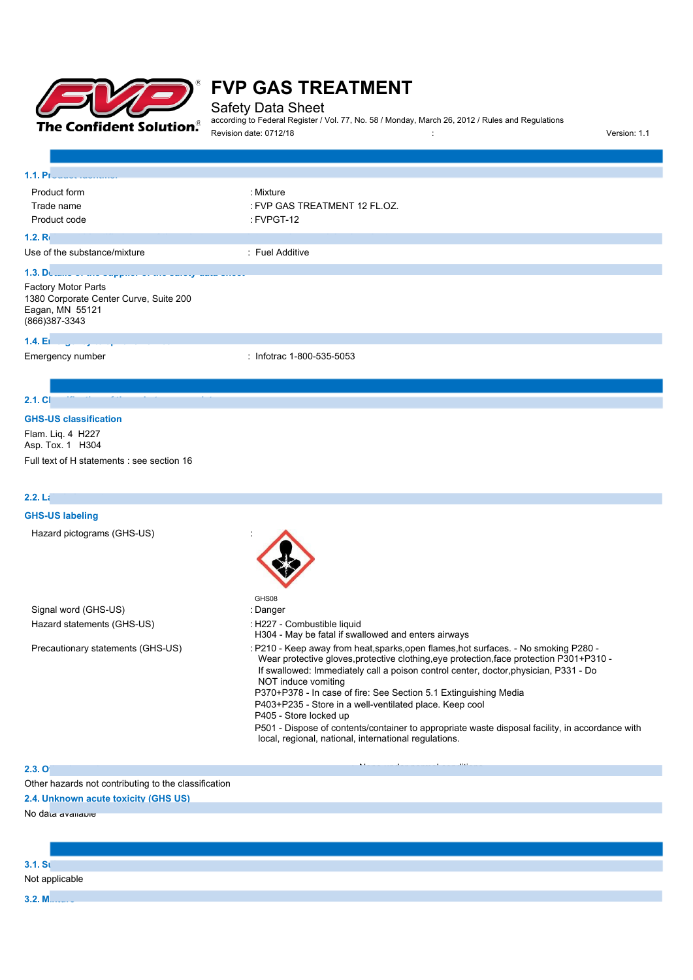

### Safety Data Sheet

**SECTION 1: Identification of the substance/mixture and of the company/undertaking**

according to Federal Register / Vol. 77, No. 58 / Monday, March 26, 2012 / Rules and Regulations Revision date: 0712/18 **Details and Contact Automobile Contact Automobile Contact Automobile Contact Automobile Contact Automobile Contact Automobile Version: 1.1** 

| $1.1.$ Programs radium or                                                                                 |                               |
|-----------------------------------------------------------------------------------------------------------|-------------------------------|
| Product form                                                                                              | : Mixture                     |
| Trade name                                                                                                | : FVP GAS TREATMENT 12 FL.OZ. |
| Product code                                                                                              | : FVPGT-12                    |
| 1.2. R(                                                                                                   |                               |
| Use of the substance/mixture                                                                              | : Fuel Additive               |
| 1.3. Determine the comparison of the control water critics                                                |                               |
| <b>Factory Motor Parts</b><br>1380 Corporate Center Curve, Suite 200<br>Eagan, MN 55121<br>(866) 387-3343 |                               |

### **1.4. Emergency telephone number**

Emergency number : Infotrac 1-800-535-5053

### **2.1. Cl**

#### **GHS-US classification**

Flam. Liq. 4 H227 Asp. Tox. 1 H304 Full text of H statements : see section 16

**SECTION 2: Hazards identification**

### **2.2. Label elements**

### **GHS-US labeling**

| Hazard pictograms (GHS-US)        |                                                                                                                                                                                                                                                                                                                                                                                                                                                                                                                                                                                                                      |
|-----------------------------------|----------------------------------------------------------------------------------------------------------------------------------------------------------------------------------------------------------------------------------------------------------------------------------------------------------------------------------------------------------------------------------------------------------------------------------------------------------------------------------------------------------------------------------------------------------------------------------------------------------------------|
|                                   | GHS08                                                                                                                                                                                                                                                                                                                                                                                                                                                                                                                                                                                                                |
| Signal word (GHS-US)              | : Danger                                                                                                                                                                                                                                                                                                                                                                                                                                                                                                                                                                                                             |
| Hazard statements (GHS-US)        | : H227 - Combustible liquid<br>H304 - May be fatal if swallowed and enters airways                                                                                                                                                                                                                                                                                                                                                                                                                                                                                                                                   |
| Precautionary statements (GHS-US) | : P210 - Keep away from heat, sparks, open flames, hot surfaces. - No smoking P280 -<br>Wear protective gloves, protective clothing, eye protection, face protection P301+P310 -<br>If swallowed: Immediately call a poison control center, doctor, physician, P331 - Do<br>NOT induce vomiting<br>P370+P378 - In case of fire: See Section 5.1 Extinguishing Media<br>P403+P235 - Store in a well-ventilated place. Keep cool<br>P405 - Store locked up<br>P501 - Dispose of contents/container to appropriate waste disposal facility, in accordance with<br>local, regional, national, international regulations. |
| 2.3. O <sup>2</sup>               | $\cdots$                                                                                                                                                                                                                                                                                                                                                                                                                                                                                                                                                                                                             |
|                                   |                                                                                                                                                                                                                                                                                                                                                                                                                                                                                                                                                                                                                      |

Other hazards not contributing to the classification

**2.4. Unknown acute toxicity (GHS US)**

No data available

| 3.1. S1        |  |  |  |
|----------------|--|--|--|
| Not applicable |  |  |  |
|                |  |  |  |
| 3.2. M         |  |  |  |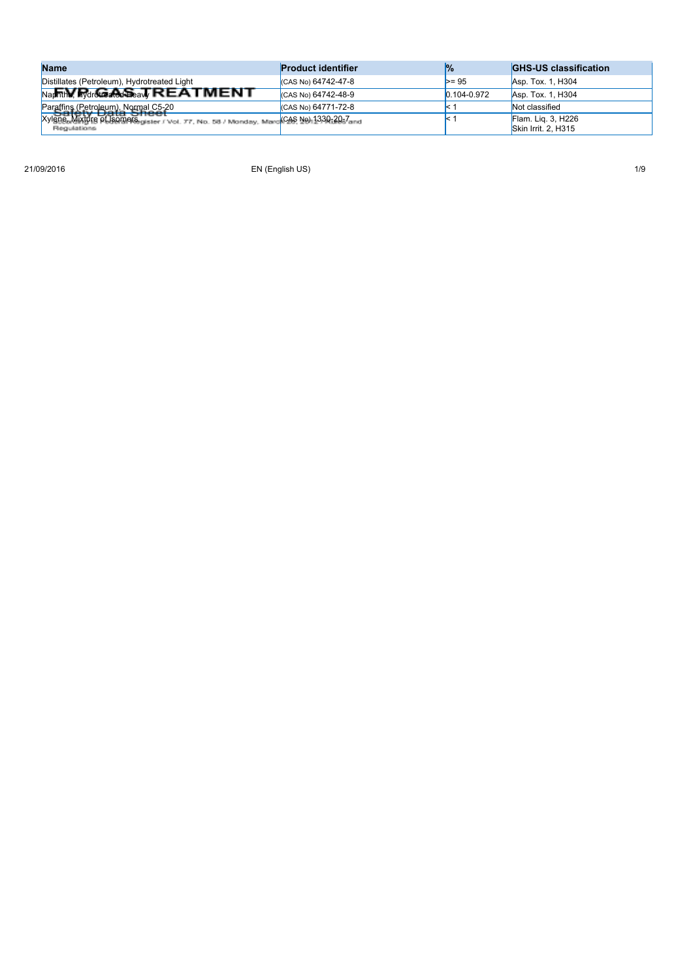| <b>Name</b>                                                                                              | <b>Product identifier</b> | $\frac{1}{2}$   | <b>GHS-US classification</b>              |
|----------------------------------------------------------------------------------------------------------|---------------------------|-----------------|-------------------------------------------|
| Distillates (Petroleum), Hydrotreated Light                                                              | (CAS No) 64742-47-8       | $>= 95$         | Asp. Tox. 1, H304                         |
| Naphthe, Hydrotoaded Beavy REATMENT                                                                      | ICAS No) 64742-48-9       | $0.104 - 0.972$ | Asp. Tox. 1, H304                         |
| Paraffins (Petroleum), Normal C5-20                                                                      | (CAS No) 64771-72-8       |                 | Not classified                            |
| Xylene, Mixture of Isomers. pister / Vol. 77, No. 58 / Monday, Max (CAS No) 1330-20-7 and<br>Regulations |                           |                 | Flam. Lig. 3, H226<br>Skin Irrit. 2. H315 |

21/09/2016 EN (English US) 1/9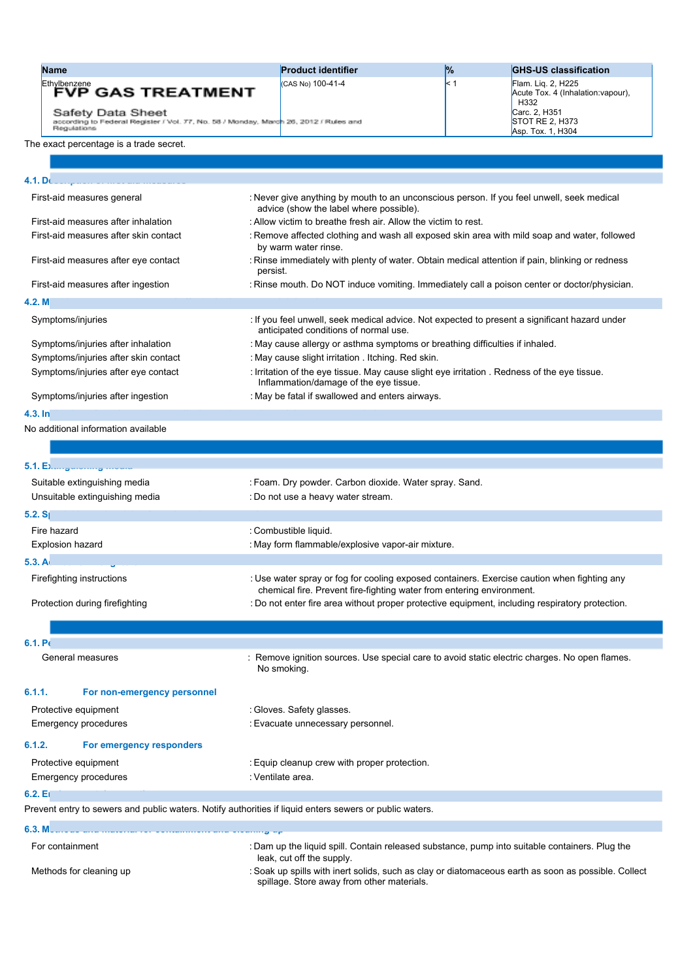| <b>Name</b>                                                                                                              | <b>Product identifier</b> | $\frac{1}{2}$ | <b>GHS-US classification</b>                                            |
|--------------------------------------------------------------------------------------------------------------------------|---------------------------|---------------|-------------------------------------------------------------------------|
| Ethylbenzene<br><b>FVP GAS TREATMENT</b>                                                                                 | $(CAS No)$ 100-41-4       | k             | <b>Flam. Lig. 2, H225</b><br>Acute Tox. 4 (Inhalation: vapour),<br>H332 |
| Safety Data Sheet<br>according to Federal Register / Vol. 77, No. 58 / Monday, March 26, 2012 / Rules and<br>Regulations |                           |               | Carc. 2, H351<br><b>STOT RE 2. H373</b><br>Asp. Tox. 1, H304            |

The exact percentage is a trade secret.

| 4.1. Dc                                                                                                 |                                                                                                                                                                      |
|---------------------------------------------------------------------------------------------------------|----------------------------------------------------------------------------------------------------------------------------------------------------------------------|
| First-aid measures general                                                                              | : Never give anything by mouth to an unconscious person. If you feel unwell, seek medical<br>advice (show the label where possible).                                 |
| First-aid measures after inhalation                                                                     | : Allow victim to breathe fresh air. Allow the victim to rest.                                                                                                       |
| First-aid measures after skin contact                                                                   | : Remove affected clothing and wash all exposed skin area with mild soap and water, followed<br>by warm water rinse.                                                 |
| First-aid measures after eye contact                                                                    | : Rinse immediately with plenty of water. Obtain medical attention if pain, blinking or redness<br>persist.                                                          |
| First-aid measures after ingestion                                                                      | : Rinse mouth. Do NOT induce vomiting. Immediately call a poison center or doctor/physician.                                                                         |
| 4.2. M                                                                                                  |                                                                                                                                                                      |
| Symptoms/injuries                                                                                       | : If you feel unwell, seek medical advice. Not expected to present a significant hazard under<br>anticipated conditions of normal use.                               |
| Symptoms/injuries after inhalation                                                                      | : May cause allergy or asthma symptoms or breathing difficulties if inhaled.                                                                                         |
| Symptoms/injuries after skin contact                                                                    | : May cause slight irritation . Itching. Red skin.                                                                                                                   |
| Symptoms/injuries after eye contact                                                                     | : Irritation of the eye tissue. May cause slight eye irritation . Redness of the eye tissue.<br>Inflammation/damage of the eye tissue.                               |
| Symptoms/injuries after ingestion                                                                       | : May be fatal if swallowed and enters airways.                                                                                                                      |
| $4.3.$ In                                                                                               |                                                                                                                                                                      |
| No additional information available                                                                     |                                                                                                                                                                      |
|                                                                                                         |                                                                                                                                                                      |
| 5.1. E),,,,,ցախ,,,,,ց ,,,ջապ                                                                            |                                                                                                                                                                      |
| Suitable extinguishing media                                                                            | : Foam. Dry powder. Carbon dioxide. Water spray. Sand.                                                                                                               |
| Unsuitable extinguishing media                                                                          | : Do not use a heavy water stream.                                                                                                                                   |
| 5.2. S                                                                                                  |                                                                                                                                                                      |
| Fire hazard                                                                                             | : Combustible liquid.                                                                                                                                                |
| <b>Explosion hazard</b>                                                                                 | : May form flammable/explosive vapor-air mixture.                                                                                                                    |
| $5.3.$ AL<br><u> 1999 - Johann Stoff, Amerikaans</u>                                                    |                                                                                                                                                                      |
| Firefighting instructions                                                                               | : Use water spray or fog for cooling exposed containers. Exercise caution when fighting any<br>chemical fire. Prevent fire-fighting water from entering environment. |
| Protection during firefighting                                                                          | : Do not enter fire area without proper protective equipment, including respiratory protection.                                                                      |
|                                                                                                         |                                                                                                                                                                      |
| $6.1.$ Pe                                                                                               |                                                                                                                                                                      |
| General measures                                                                                        | : Remove ignition sources. Use special care to avoid static electric charges. No open flames.<br>No smoking.                                                         |
| 6.1.1.<br>For non-emergency personnel                                                                   |                                                                                                                                                                      |
| Protective equipment                                                                                    | : Gloves. Safety glasses.                                                                                                                                            |
| <b>Emergency procedures</b>                                                                             | : Evacuate unnecessary personnel.                                                                                                                                    |
| 6.1.2.<br>For emergency responders                                                                      |                                                                                                                                                                      |
| Protective equipment                                                                                    | : Equip cleanup crew with proper protection.                                                                                                                         |
| Emergency procedures                                                                                    | : Ventilate area.                                                                                                                                                    |
| 6.2. E1                                                                                                 |                                                                                                                                                                      |
| Prevent entry to sewers and public waters. Notify authorities if liquid enters sewers or public waters. |                                                                                                                                                                      |
| 6.3. Mullium and material resolutions and committee and severing up                                     |                                                                                                                                                                      |
| For containment                                                                                         | : Dam up the liquid spill. Contain released substance, pump into suitable containers. Plug the<br>leak, cut off the supply.                                          |

Methods for cleaning up state of the solid state up spills with inert solids, such as clay or diatomaceous earth as soon as possible. Collect spillage. Store away from other materials.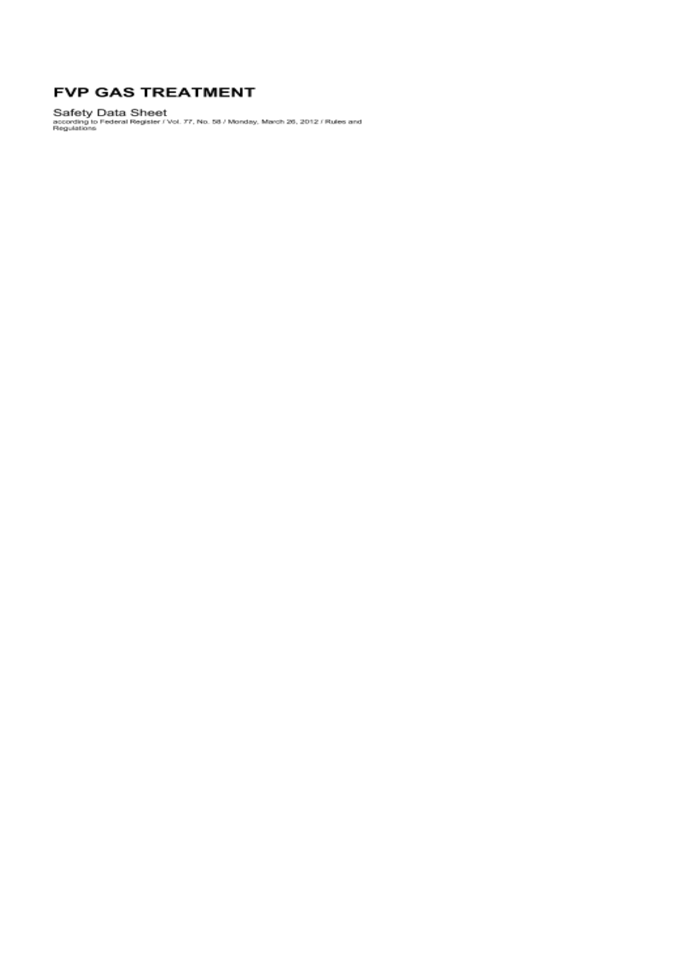Safety Data Sheet<br>according to Federal Register / Vol. 77, No. 56 / Monday, March 26, 2012 / Rules and<br>Regulations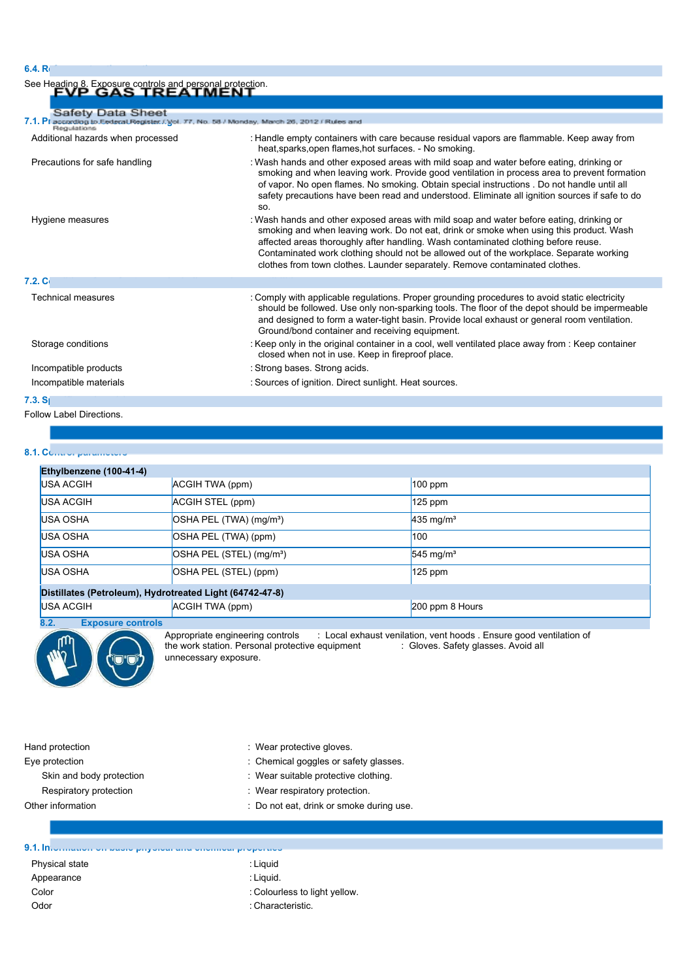# See Heading 8. Exposure controls and personal protection.

**SECTION 8: Exposure controls/personal protection**

| Safety Data Sheet                                                                                           |                                                                                                                                                                                                                                                                                                                                                                                                                                                     |
|-------------------------------------------------------------------------------------------------------------|-----------------------------------------------------------------------------------------------------------------------------------------------------------------------------------------------------------------------------------------------------------------------------------------------------------------------------------------------------------------------------------------------------------------------------------------------------|
| 7.1. Pt according to Enderal Register / Vol. 77, No. 58 / Monday, March 26, 2012 / Rules and<br>Regulations |                                                                                                                                                                                                                                                                                                                                                                                                                                                     |
| Additional hazards when processed                                                                           | : Handle empty containers with care because residual vapors are flammable. Keep away from<br>heat, sparks, open flames, hot surfaces. - No smoking.                                                                                                                                                                                                                                                                                                 |
| Precautions for safe handling                                                                               | : Wash hands and other exposed areas with mild soap and water before eating, drinking or<br>smoking and when leaving work. Provide good ventilation in process area to prevent formation<br>of vapor. No open flames. No smoking. Obtain special instructions . Do not handle until all<br>safety precautions have been read and understood. Eliminate all ignition sources if safe to do<br>SO.                                                    |
| Hygiene measures                                                                                            | : Wash hands and other exposed areas with mild soap and water before eating, drinking or<br>smoking and when leaving work. Do not eat, drink or smoke when using this product. Wash<br>affected areas thoroughly after handling. Wash contaminated clothing before reuse.<br>Contaminated work clothing should not be allowed out of the workplace. Separate working<br>clothes from town clothes. Launder separately. Remove contaminated clothes. |
| $7.2.$ C                                                                                                    |                                                                                                                                                                                                                                                                                                                                                                                                                                                     |
| <b>Technical measures</b>                                                                                   | : Comply with applicable regulations. Proper grounding procedures to avoid static electricity<br>should be followed. Use only non-sparking tools. The floor of the depot should be impermeable<br>and designed to form a water-tight basin. Provide local exhaust or general room ventilation.<br>Ground/bond container and receiving equipment.                                                                                                    |
| Storage conditions                                                                                          | : Keep only in the original container in a cool, well ventilated place away from : Keep container<br>closed when not in use. Keep in fireproof place.                                                                                                                                                                                                                                                                                               |
| Incompatible products                                                                                       | : Strong bases. Strong acids.                                                                                                                                                                                                                                                                                                                                                                                                                       |
| Incompatible materials                                                                                      | : Sources of ignition. Direct sunlight. Heat sources.                                                                                                                                                                                                                                                                                                                                                                                               |
| 7.3. S <sub>1</sub>                                                                                         |                                                                                                                                                                                                                                                                                                                                                                                                                                                     |
| <b>Follow Label Directions.</b>                                                                             |                                                                                                                                                                                                                                                                                                                                                                                                                                                     |
|                                                                                                             |                                                                                                                                                                                                                                                                                                                                                                                                                                                     |

#### **8.1. C**

| Ethylbenzene (100-41-4)                                  |                                      |                         |  |  |
|----------------------------------------------------------|--------------------------------------|-------------------------|--|--|
| <b>USA ACGIH</b>                                         | ACGIH TWA (ppm)                      | $100$ ppm               |  |  |
| <b>USA ACGIH</b>                                         | ACGIH STEL (ppm)                     | $125$ ppm               |  |  |
| USA OSHA                                                 | OSHA PEL (TWA) (mg/m <sup>3</sup> )  | $435$ mg/m <sup>3</sup> |  |  |
| USA OSHA                                                 | OSHA PEL (TWA) (ppm)                 | 100                     |  |  |
| USA OSHA                                                 | OSHA PEL (STEL) (mg/m <sup>3</sup> ) | 545 mg/m <sup>3</sup>   |  |  |
| USA OSHA                                                 | OSHA PEL (STEL) (ppm)                | $125$ ppm               |  |  |
| Distillates (Petroleum), Hydrotreated Light (64742-47-8) |                                      |                         |  |  |
| ACGIH TWA (ppm)<br><b>USA ACGIH</b><br>200 ppm 8 Hours   |                                      |                         |  |  |
| 8.2.<br><b>Exposure controls</b>                         |                                      |                         |  |  |

Appropriate engineering controls : Local exhaust venilation, vent hoods . Ensure good ventilation of the work station. Personal protective equipment : Gloves. Safety glasses. Avoid all the work station. Personal protective equipment unnecessary exposure.

| Hand protection          | : Wear protective gloves.                |
|--------------------------|------------------------------------------|
| Eye protection           | : Chemical goggles or safety glasses.    |
| Skin and body protection | : Wear suitable protective clothing.     |
| Respiratory protection   | : Wear respiratory protection.           |
| Other information        | : Do not eat, drink or smoke during use. |
|                          |                                          |

### **SECTION 9: Physical and chemical properties 9.1. Information on basic physical and chemical properties**

Physical state : Liquid Appearance : Liquid. Odor : Characteristic.

Color Color : Colourless to light yellow.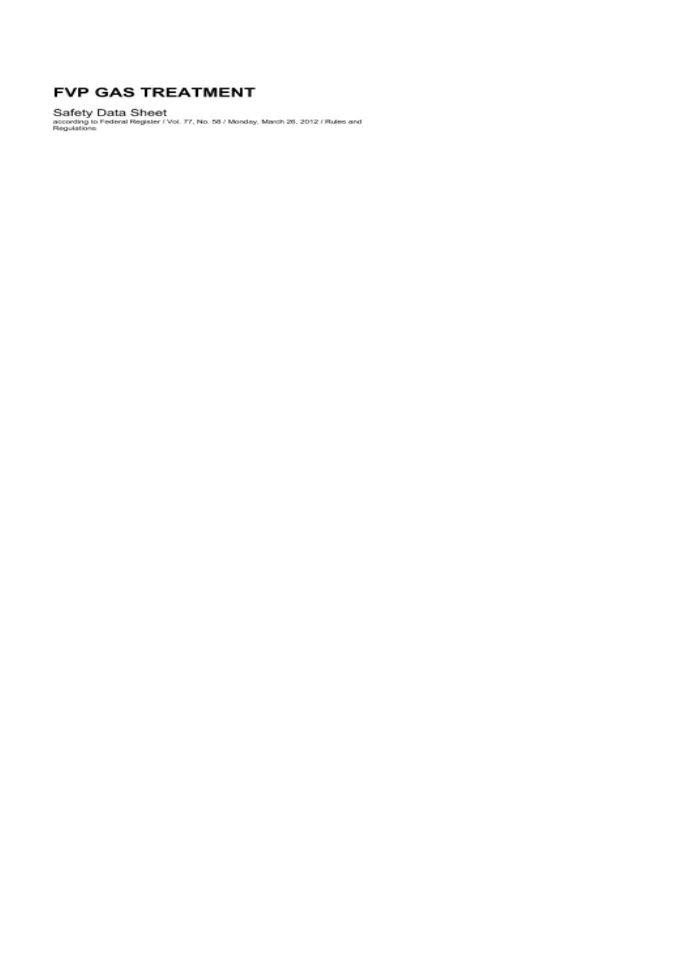Safety Data Sheet<br>according to Federal Register / Vol. 77, No. 56 / Monday, March 26, 2012 / Rules and<br>Regulations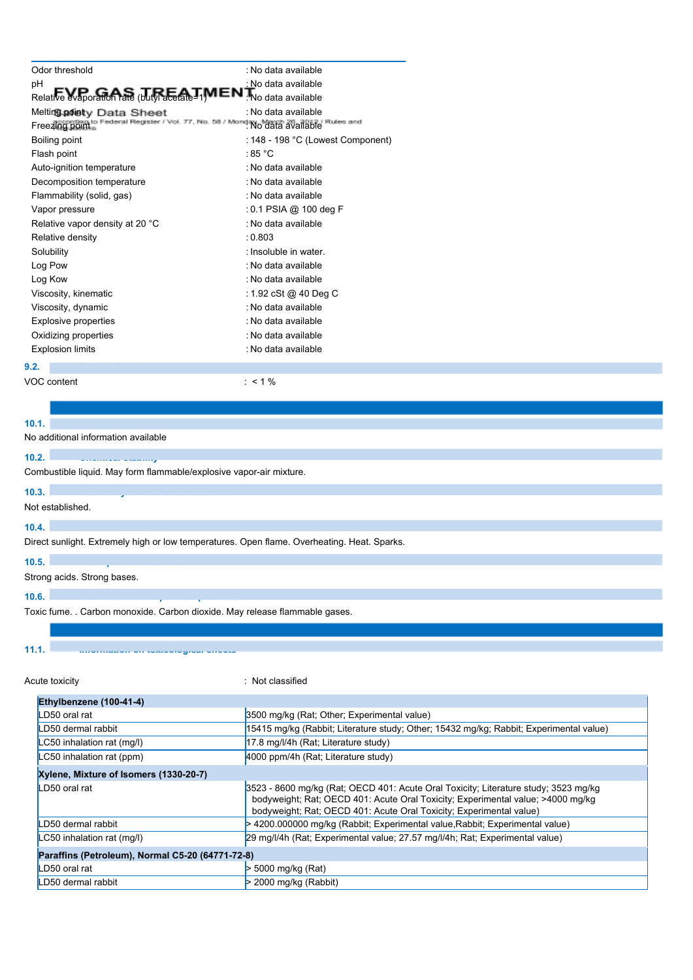| Odor threshold                                                                       | : No data available               |
|--------------------------------------------------------------------------------------|-----------------------------------|
| pH                                                                                   | : No data available               |
| Relative Waporation rate (buty Reed) IMEN To data available                          |                                   |
| Melting polaty Data Sheet                                                            | : No data available               |
| Freezing point Federal Register / Vol. 77, No. 58 / Mond No data available Rules and |                                   |
| Boiling point                                                                        | : 148 - 198 °C (Lowest Component) |
| Flash point                                                                          | :85 °C                            |
| Auto-ignition temperature                                                            | : No data available               |
| Decomposition temperature                                                            | : No data available               |
| Flammability (solid, gas)                                                            | : No data available               |
| Vapor pressure                                                                       | : 0.1 PSIA @ 100 deg F            |
| Relative vapor density at 20 °C                                                      | : No data available               |
| Relative density                                                                     | : 0.803                           |
| Solubility                                                                           | : Insoluble in water.             |
| Log Pow                                                                              | : No data available               |
| Log Kow                                                                              | : No data available               |
| Viscosity, kinematic                                                                 | : 1.92 cSt @ 40 Deg C             |
| Viscosity, dynamic                                                                   | : No data available               |
| Explosive properties                                                                 | : No data available               |
| Oxidizing properties                                                                 | : No data available               |
| <b>Explosion limits</b>                                                              | : No data available               |
|                                                                                      |                                   |

**9.2.** 

VOC content : < 1 %

## **SECTION 10: Stability and reactivity 10.1.** No additional information available **10.2. Chemical stability** Combustible liquid. May form flammable/explosive vapor-air mixture. **10.3. Possibility of hazardous reactions** Not established.  $10.4.$ Direct sunlight. Extremely high or low temperatures. Open flame. Overheating. Heat. Sparks. **10.5. Incompatible materials** Strong acids. Strong bases. **10.6. Hazardous decomposition products** Toxic fume. . Carbon monoxide. Carbon dioxide. May release flammable gases.

**11.1. Information on toxicological effects**

**SECTION 11: Toxicological information**

Acute toxicity **in the case of the contract of the contract of the contract of the contract of the contract of the contract of the contract of the contract of the contract of the contract of the contract of the contract of** 

| Ethylbenzene (100-41-4)                          |                                                                                                                                                                                                                                               |
|--------------------------------------------------|-----------------------------------------------------------------------------------------------------------------------------------------------------------------------------------------------------------------------------------------------|
| LD50 oral rat                                    | 3500 mg/kg (Rat; Other; Experimental value)                                                                                                                                                                                                   |
| LD50 dermal rabbit                               | 15415 mg/kg (Rabbit; Literature study; Other; 15432 mg/kg; Rabbit; Experimental value)                                                                                                                                                        |
| LC50 inhalation rat (mg/l)                       | 17.8 mg/l/4h (Rat; Literature study)                                                                                                                                                                                                          |
| LC50 inhalation rat (ppm)                        | 4000 ppm/4h (Rat; Literature study)                                                                                                                                                                                                           |
| Xylene, Mixture of Isomers (1330-20-7)           |                                                                                                                                                                                                                                               |
| LD50 oral rat                                    | 3523 - 8600 mg/kg (Rat; OECD 401: Acute Oral Toxicity; Literature study; 3523 mg/kg<br>bodyweight; Rat; OECD 401: Acute Oral Toxicity; Experimental value; >4000 mg/kg<br>bodyweight; Rat; OECD 401: Acute Oral Toxicity; Experimental value) |
| LD50 dermal rabbit                               | > 4200.000000 mg/kg (Rabbit; Experimental value, Rabbit; Experimental value)                                                                                                                                                                  |
| LC50 inhalation rat (mg/l)                       | 29 mg/l/4h (Rat; Experimental value; 27.57 mg/l/4h; Rat; Experimental value)                                                                                                                                                                  |
| Paraffins (Petroleum), Normal C5-20 (64771-72-8) |                                                                                                                                                                                                                                               |
| LD50 oral rat                                    | $>$ 5000 mg/kg (Rat)                                                                                                                                                                                                                          |
| LD50 dermal rabbit                               | $>$ 2000 mg/kg (Rabbit)                                                                                                                                                                                                                       |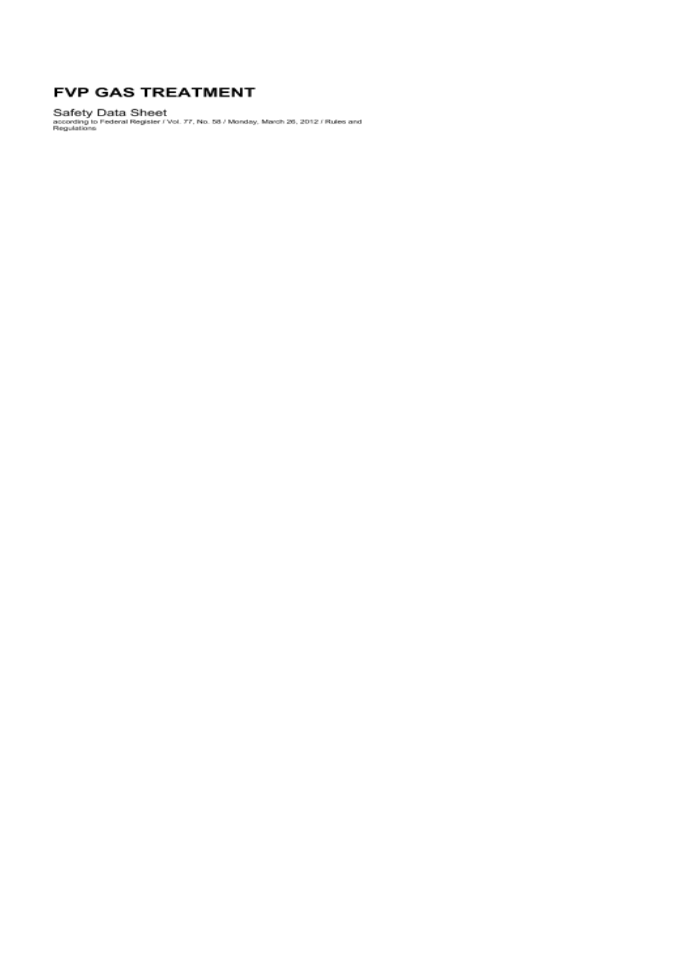Safety Data Sheet<br>according to Federal Register / Vol. 77, No. 56 / Monday, March 26, 2012 / Rules and<br>Regulations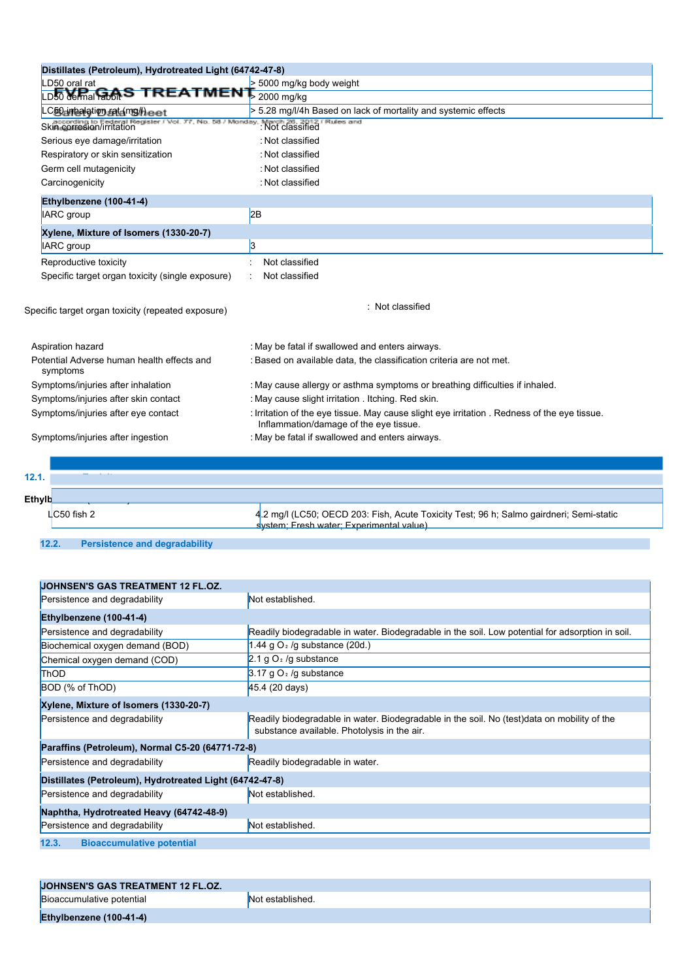| Distillates (Petroleum), Hydrotreated Light (64742-47-8)   |                                                                                                                                        |
|------------------------------------------------------------|----------------------------------------------------------------------------------------------------------------------------------------|
| D50 oral rat                                               | > 5000 mg/kg body weight                                                                                                               |
| <sub>₽</sub> ₽₩™® <del>®</del> ®°±RE <del>ATM</del><br>IEN | 2000 mg/kg                                                                                                                             |
| C50 inhalation fat (mg/heet                                | > 5.28 mg/l/4h Based on lack of mortality and systemic effects                                                                         |
| Skin corrosion/irritation                                  | Rules and<br>: Not classified                                                                                                          |
| Serious eye damage/irritation                              | : Not classified                                                                                                                       |
| Respiratory or skin sensitization                          | : Not classified                                                                                                                       |
| Germ cell mutagenicity                                     | : Not classified                                                                                                                       |
| Carcinogenicity                                            | : Not classified                                                                                                                       |
| Ethylbenzene (100-41-4)                                    |                                                                                                                                        |
| <b>IARC</b> group                                          | 2B                                                                                                                                     |
| Xylene, Mixture of Isomers (1330-20-7)                     |                                                                                                                                        |
| <b>IARC</b> group                                          | 3                                                                                                                                      |
| Reproductive toxicity                                      | Not classified                                                                                                                         |
| Specific target organ toxicity (single exposure)           | Not classified                                                                                                                         |
|                                                            |                                                                                                                                        |
| Specific target organ toxicity (repeated exposure)         | : Not classified                                                                                                                       |
|                                                            |                                                                                                                                        |
| Aspiration hazard                                          | : May be fatal if swallowed and enters airways.                                                                                        |
| Potential Adverse human health effects and<br>symptoms     | : Based on available data, the classification criteria are not met.                                                                    |
| Symptoms/injuries after inhalation                         | : May cause allergy or asthma symptoms or breathing difficulties if inhaled.                                                           |
| Symptoms/injuries after skin contact                       | : May cause slight irritation . Itching. Red skin.                                                                                     |
| Symptoms/injuries after eye contact                        | : Irritation of the eye tissue. May cause slight eye irritation . Redness of the eye tissue.<br>Inflammation/damage of the eye tissue. |
| Symptoms/injuries after ingestion                          | : May be fatal if swallowed and enters airways.                                                                                        |
|                                                            |                                                                                                                                        |
| 12.1.                                                      |                                                                                                                                        |
|                                                            |                                                                                                                                        |
| Ethylb                                                     |                                                                                                                                        |

### **12.2. Persistence and degradability**

| <b>JOHNSEN'S GAS TREATMENT 12 FL.OZ.</b>                 |                                                                                                                                            |  |  |
|----------------------------------------------------------|--------------------------------------------------------------------------------------------------------------------------------------------|--|--|
| Persistence and degradability                            | Not established.                                                                                                                           |  |  |
| Ethylbenzene (100-41-4)                                  |                                                                                                                                            |  |  |
| Persistence and degradability                            | Readily biodegradable in water. Biodegradable in the soil. Low potential for adsorption in soil.                                           |  |  |
| Biochemical oxygen demand (BOD)                          | 1.44 g $O2$ /g substance (20d.)                                                                                                            |  |  |
| Chemical oxygen demand (COD)                             | 2.1 g $O2$ /g substance                                                                                                                    |  |  |
| ThOD                                                     | $3.17$ g O <sub>2</sub> /g substance                                                                                                       |  |  |
| BOD (% of ThOD)                                          | 45.4 (20 days)                                                                                                                             |  |  |
| Xylene, Mixture of Isomers (1330-20-7)                   |                                                                                                                                            |  |  |
| Persistence and degradability                            | Readily biodegradable in water. Biodegradable in the soil. No (test)data on mobility of the<br>substance available. Photolysis in the air. |  |  |
| Paraffins (Petroleum), Normal C5-20 (64771-72-8)         |                                                                                                                                            |  |  |
| Persistence and degradability                            | Readily biodegradable in water.                                                                                                            |  |  |
| Distillates (Petroleum), Hydrotreated Light (64742-47-8) |                                                                                                                                            |  |  |
| Persistence and degradability                            | Not established.                                                                                                                           |  |  |
| Naphtha, Hydrotreated Heavy (64742-48-9)                 |                                                                                                                                            |  |  |
| Persistence and degradability                            | Not established.                                                                                                                           |  |  |
| 12.3.<br><b>Bioaccumulative potential</b>                |                                                                                                                                            |  |  |

LC50 fish 2 4.2 mg/l (LC50; OECD 203: Fish, Acute Toxicity Test; 96 h; Salmo gairdneri; Semi-static system; Fresh water; Experimental value)

| <b>JOHNSEN'S GAS TREATMENT 12 FL.OZ.</b> |                  |
|------------------------------------------|------------------|
| Bioaccumulative potential                | Not established. |
| Ethylbenzene (100-41-4)                  |                  |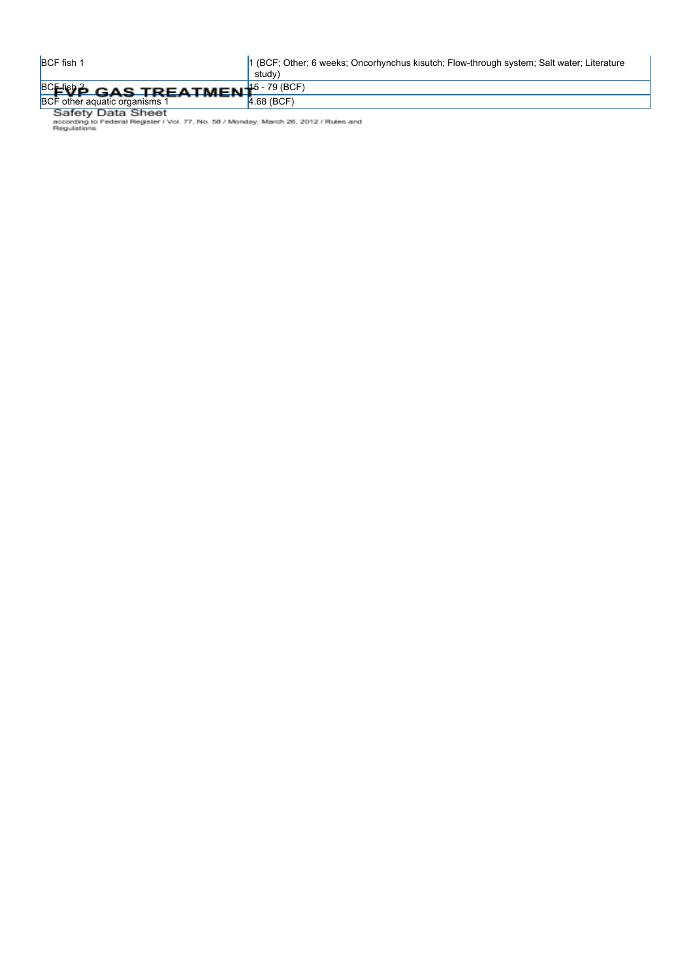B C F fis h 1

1 (BCF; Other; 6 weeks; Oncorhynchus kisutch; Flow-through system; Salt water; Literature

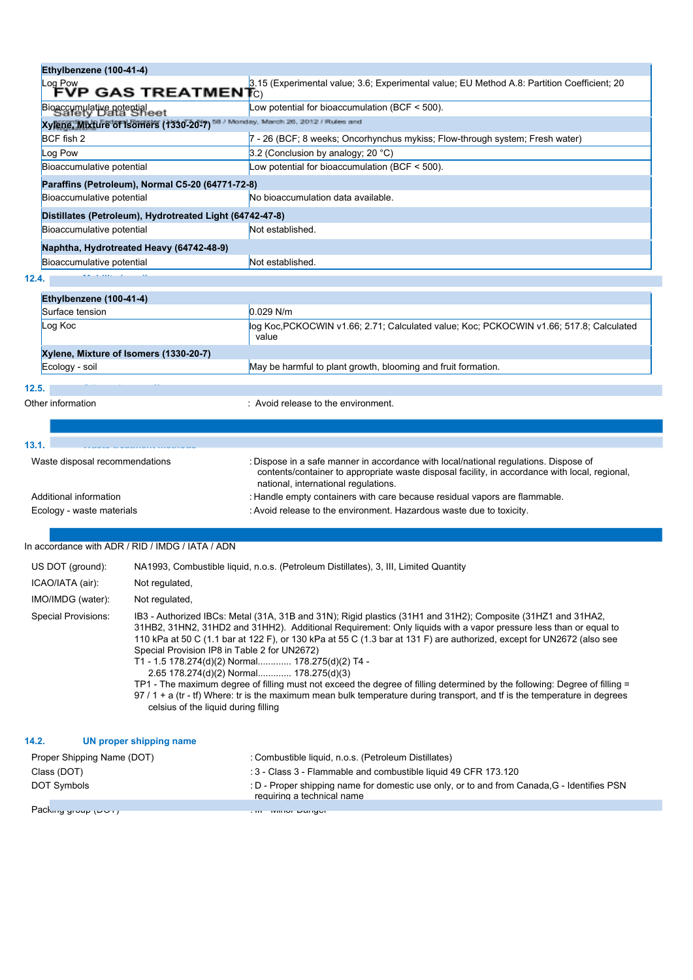| Ethylbenzene (100-41-4)                                                        |                                                                                                                                                                                                                                |
|--------------------------------------------------------------------------------|--------------------------------------------------------------------------------------------------------------------------------------------------------------------------------------------------------------------------------|
| Log Pow<br>$\mathsf{FVP}\nolimits$ GAS TREATMENT $_{\!\!\mathrm{C}}$           | 3.15 (Experimental value; 3.6; Experimental value; EU Method A.8: Partition Coefficient; 20                                                                                                                                    |
| Bioaccumulative potential                                                      | Low potential for bioaccumulation (BCF < 500).                                                                                                                                                                                 |
| Xylene, Mixture of Isomers (1330-20-7) 58 / Monday, March 26, 2012 / Rules and |                                                                                                                                                                                                                                |
| BCF fish 2                                                                     | 7 - 26 (BCF; 8 weeks; Oncorhynchus mykiss; Flow-through system; Fresh water)                                                                                                                                                   |
| Log Pow                                                                        | 3.2 (Conclusion by analogy; 20 °C)                                                                                                                                                                                             |
| Bioaccumulative potential                                                      | Low potential for bioaccumulation (BCF < 500).                                                                                                                                                                                 |
| Paraffins (Petroleum), Normal C5-20 (64771-72-8)                               |                                                                                                                                                                                                                                |
| Bioaccumulative potential                                                      | No bioaccumulation data available.                                                                                                                                                                                             |
| Distillates (Petroleum), Hydrotreated Light (64742-47-8)                       |                                                                                                                                                                                                                                |
| Bioaccumulative potential                                                      | Not established.                                                                                                                                                                                                               |
| Naphtha, Hydrotreated Heavy (64742-48-9)                                       |                                                                                                                                                                                                                                |
| Bioaccumulative potential                                                      | Not established.                                                                                                                                                                                                               |
| 12.4.                                                                          |                                                                                                                                                                                                                                |
| Ethylbenzene (100-41-4)                                                        |                                                                                                                                                                                                                                |
| Surface tension                                                                | $0.029$ N/m                                                                                                                                                                                                                    |
| Log Koc                                                                        | log Koc, PCKOCWIN v1.66; 2.71; Calculated value; Koc; PCKOCWIN v1.66; 517.8; Calculated<br>value                                                                                                                               |
| Xylene, Mixture of Isomers (1330-20-7)                                         |                                                                                                                                                                                                                                |
| Ecology - soil                                                                 | May be harmful to plant growth, blooming and fruit formation.                                                                                                                                                                  |
| 12.5.                                                                          |                                                                                                                                                                                                                                |
| Other information                                                              | : Avoid release to the environment.                                                                                                                                                                                            |
|                                                                                |                                                                                                                                                                                                                                |
| 13.1.<br>i i dobo bi odbiriori birobiro                                        |                                                                                                                                                                                                                                |
| Waste disposal recommendations                                                 | : Dispose in a safe manner in accordance with local/national regulations. Dispose of<br>contents/container to appropriate waste disposal facility, in accordance with local, regional,<br>national, international regulations. |
| Additional information                                                         | : Handle empty containers with care because residual vapors are flammable.                                                                                                                                                     |
| Ecology - waste materials                                                      | : Avoid release to the environment. Hazardous waste due to toxicity.                                                                                                                                                           |

|                            | In accordance with ADR / RID / IMDG / IATA / ADN |                                                                                                                                                                                                                                                                                                                                                                                                                                                                                                                                                                                                                                                                                                                                                                    |
|----------------------------|--------------------------------------------------|--------------------------------------------------------------------------------------------------------------------------------------------------------------------------------------------------------------------------------------------------------------------------------------------------------------------------------------------------------------------------------------------------------------------------------------------------------------------------------------------------------------------------------------------------------------------------------------------------------------------------------------------------------------------------------------------------------------------------------------------------------------------|
| US DOT (ground):           |                                                  | NA1993, Combustible liquid, n.o.s. (Petroleum Distillates), 3, III, Limited Quantity                                                                                                                                                                                                                                                                                                                                                                                                                                                                                                                                                                                                                                                                               |
| ICAO/IATA (air):           | Not regulated,                                   |                                                                                                                                                                                                                                                                                                                                                                                                                                                                                                                                                                                                                                                                                                                                                                    |
| IMO/IMDG (water):          | Not regulated,                                   |                                                                                                                                                                                                                                                                                                                                                                                                                                                                                                                                                                                                                                                                                                                                                                    |
| <b>Special Provisions:</b> | celsius of the liquid during filling             | IB3 - Authorized IBCs: Metal (31A, 31B and 31N); Rigid plastics (31H1 and 31H2); Composite (31HZ1 and 31HA2,<br>31HB2, 31HN2, 31HD2 and 31HH2). Additional Requirement: Only liquids with a vapor pressure less than or equal to<br>110 kPa at 50 C (1.1 bar at 122 F), or 130 kPa at 55 C (1.3 bar at 131 F) are authorized, except for UN2672 (also see<br>Special Provision IP8 in Table 2 for UN2672)<br>T1 - 1.5 178.274(d)(2) Normal 178.275(d)(2) T4 -<br>$2.65$ 178.274(d)(2) Normal 178.275(d)(3)<br>TP1 - The maximum degree of filling must not exceed the degree of filling determined by the following: Degree of filling =<br>97/1+a (tr - tf) Where: tr is the maximum mean bulk temperature during transport, and tf is the temperature in degrees |
| 14.2.                      | UN proper shipping name                          |                                                                                                                                                                                                                                                                                                                                                                                                                                                                                                                                                                                                                                                                                                                                                                    |
| Proper Shipping Name (DOT) |                                                  | : Combustible liquid, n.o.s. (Petroleum Distillates)                                                                                                                                                                                                                                                                                                                                                                                                                                                                                                                                                                                                                                                                                                               |
|                            |                                                  |                                                                                                                                                                                                                                                                                                                                                                                                                                                                                                                                                                                                                                                                                                                                                                    |

**SECTION 14: Transport information**

| Proper Shipping Name (DOT) | : Combustible liquid, n.o.s. (Petroleum Distillates)                                                                      |
|----------------------------|---------------------------------------------------------------------------------------------------------------------------|
| Class (DOT)                | : 3 - Class 3 - Flammable and combustible liquid 49 CFR 173.120                                                           |
| DOT Symbols                | : D - Proper shipping name for domestic use only, or to and from Canada, G - Identifies PSN<br>requiring a technical name |
| Packing group (DOT)        |                                                                                                                           |
|                            | . III - IVIIIIUI Dangor                                                                                                   |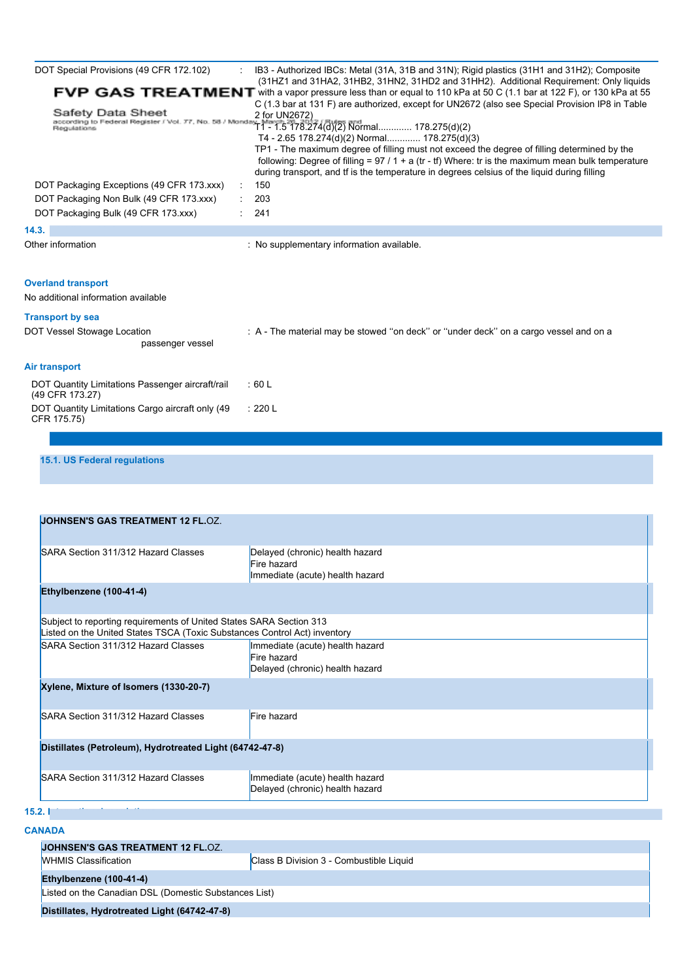| DOT Special Provisions (49 CFR 172.102)                             | IB3 - Authorized IBCs: Metal (31A, 31B and 31N); Rigid plastics (31H1 and 31H2); Composite<br>(31HZ1 and 31HA2, 31HB2, 31HN2, 31HD2 and 31HH2). Additional Requirement: Only liquids                                                                                                                                                                                                                                                                                                                                                                                                                                                                                                              |
|---------------------------------------------------------------------|---------------------------------------------------------------------------------------------------------------------------------------------------------------------------------------------------------------------------------------------------------------------------------------------------------------------------------------------------------------------------------------------------------------------------------------------------------------------------------------------------------------------------------------------------------------------------------------------------------------------------------------------------------------------------------------------------|
| Safety Data Sheet                                                   | FVP GAS TREATMENT with a vapor pressure less than or equal to 110 kPa at 50 C (1.1 bar at 122 F), or 130 kPa at 55<br>C (1.3 bar at 131 F) are authorized, except for UN2672 (also see Special Provision IP8 in Table<br>2 for UN2672)<br>according to Federal Register / Vol. 77, No. 58 / Monday 1 - 1.5 178.274(d)(2) Normal 178.275(d)(2)<br>T4 - 2.65 178.274(d)(2) Normal 178.275(d)(3)<br>TP1 - The maximum degree of filling must not exceed the degree of filling determined by the<br>following: Degree of filling = $97/1 + a$ (tr - tf) Where: tr is the maximum mean bulk temperature<br>during transport, and tf is the temperature in degrees celsius of the liquid during filling |
| DOT Packaging Exceptions (49 CFR 173.xxx)                           | 150                                                                                                                                                                                                                                                                                                                                                                                                                                                                                                                                                                                                                                                                                               |
| DOT Packaging Non Bulk (49 CFR 173.xxx)                             | 203                                                                                                                                                                                                                                                                                                                                                                                                                                                                                                                                                                                                                                                                                               |
| DOT Packaging Bulk (49 CFR 173.xxx)                                 | 241                                                                                                                                                                                                                                                                                                                                                                                                                                                                                                                                                                                                                                                                                               |
| 14.3.                                                               |                                                                                                                                                                                                                                                                                                                                                                                                                                                                                                                                                                                                                                                                                                   |
| Other information                                                   | : No supplementary information available.                                                                                                                                                                                                                                                                                                                                                                                                                                                                                                                                                                                                                                                         |
| <b>Overland transport</b><br>No additional information available    |                                                                                                                                                                                                                                                                                                                                                                                                                                                                                                                                                                                                                                                                                                   |
| <b>Transport by sea</b>                                             |                                                                                                                                                                                                                                                                                                                                                                                                                                                                                                                                                                                                                                                                                                   |
| DOT Vessel Stowage Location<br>passenger vessel                     | : A - The material may be stowed "on deck" or "under deck" on a cargo vessel and on a                                                                                                                                                                                                                                                                                                                                                                                                                                                                                                                                                                                                             |
| <b>Air transport</b>                                                |                                                                                                                                                                                                                                                                                                                                                                                                                                                                                                                                                                                                                                                                                                   |
| DOT Quantity Limitations Passenger aircraft/rail<br>(49 CFR 173.27) | :60L                                                                                                                                                                                                                                                                                                                                                                                                                                                                                                                                                                                                                                                                                              |
| DOT Quantity Limitations Cargo aircraft only (49<br>CFR 175.75)     | : 220 L                                                                                                                                                                                                                                                                                                                                                                                                                                                                                                                                                                                                                                                                                           |
|                                                                     |                                                                                                                                                                                                                                                                                                                                                                                                                                                                                                                                                                                                                                                                                                   |

### **15.1. US Federal regulations**

| <b>JOHNSEN'S GAS TREATMENT 12 FL.OZ.</b>                                                                                                         |                                                                                   |  |
|--------------------------------------------------------------------------------------------------------------------------------------------------|-----------------------------------------------------------------------------------|--|
| SARA Section 311/312 Hazard Classes                                                                                                              | Delayed (chronic) health hazard<br>Fire hazard<br>Immediate (acute) health hazard |  |
| Ethylbenzene (100-41-4)                                                                                                                          |                                                                                   |  |
| Subject to reporting requirements of United States SARA Section 313<br>Listed on the United States TSCA (Toxic Substances Control Act) inventory |                                                                                   |  |
| SARA Section 311/312 Hazard Classes                                                                                                              | Immediate (acute) health hazard<br>Fire hazard<br>Delayed (chronic) health hazard |  |
| Xylene, Mixture of Isomers (1330-20-7)                                                                                                           |                                                                                   |  |
| SARA Section 311/312 Hazard Classes                                                                                                              | Fire hazard                                                                       |  |
| Distillates (Petroleum), Hydrotreated Light (64742-47-8)                                                                                         |                                                                                   |  |
| SARA Section 311/312 Hazard Classes                                                                                                              | Immediate (acute) health hazard<br>Delayed (chronic) health hazard                |  |

### **CANADA**

| <b>JOHNSEN'S GAS TREATMENT 12 FL.OZ.</b>              |                                         |  |
|-------------------------------------------------------|-----------------------------------------|--|
| <b>WHMIS Classification</b>                           | Class B Division 3 - Combustible Liquid |  |
| Ethylbenzene (100-41-4)                               |                                         |  |
| Listed on the Canadian DSL (Domestic Substances List) |                                         |  |
| Distillates, Hydrotreated Light (64742-47-8)          |                                         |  |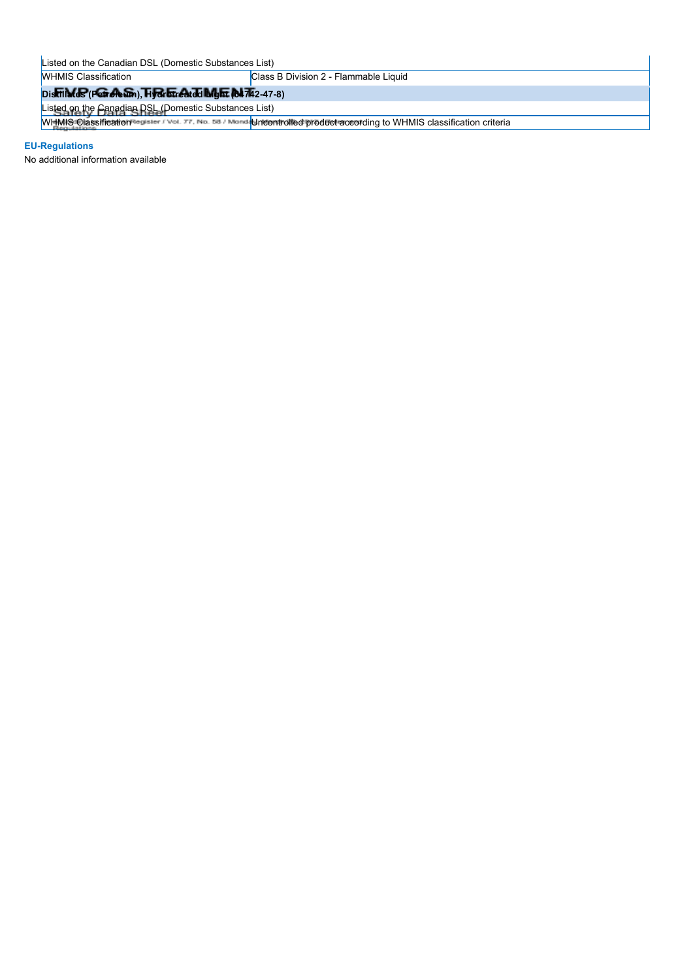Listed on the Canadian DSL (Domestic Substances List)<br>WHMIS Classification **Class** Class B Division 2 - Flammable Liquid

**Distillates (Petroleum), Hydrotreated Light (64742-47-8)**

Listed on the Canadian DSL (Domestic Substances List)

WHMIS Classification Register / Vol. 77, No. 58 / Mond Uncontrolled product according to WHMIS classification criteria

### **EU-Regulations**

No additional information available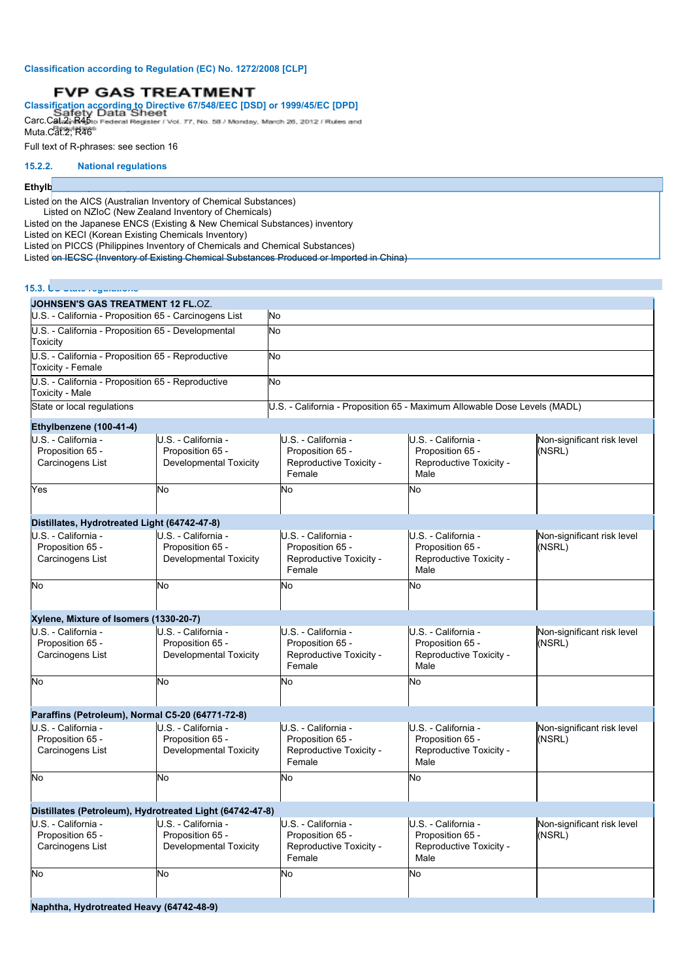#### **Classification according to Directive 67/548/EEC [DSD] or 1999/45/EC [DPD]**

Carc.Cat.2; R45 Muta.Cat.2; R46

Full text of R-phrases: see section 16

#### **15.2.2. National regulations**

#### **Ethylb**

Listed on the AICS (Australian Inventory of Chemical Substances)

Listed on NZIoC (New Zealand Inventory of Chemicals)

Listed on the Japanese ENCS (Existing & New Chemical Substances) inventory

Listed on KECI (Korean Existing Chemicals Inventory)

Listed on PICCS (Philippines Inventory of Chemicals and Chemical Substances)

Listed on IECSC (Inventory of Existing Chemical Substances Produced or Imported in China)

#### **15.3. US State regulations JOHNSEN'S GAS TREATMENT 12 FL.**OZ. U.S. - California - Proposition 65 - Carcinogens List No U.S. - California - Proposition 65 - Developmental **Toxicity** No U.S. - California - Proposition 65 - Reproductive Toxicity - Female No U.S. - California - Proposition 65 - Reproductive Toxicity - Male No State or local regulations **U.S. - California - Proposition 65 - Maximum Allowable Dose Levels (MADL) Ethylbenzene (100-41-4)** U.S. - California - Proposition 65 - Carcinogens List U.S. - California - Proposition 65 - Developmental Toxicity U.S. - California - Proposition 65 - Reproductive Toxicity - Female U.S. - California - Proposition 65 - Reproductive Toxicity - Male Non-significant risk level (NSRL) Yes No No No No No No No **Distillates, Hydrotreated Light (64742-47-8)** U.S. - California - Proposition 65 - Carcinogens List U.S. - California - Proposition 65 - Developmental Toxicity U.S. - California - Proposition 65 - Reproductive Toxicity - Female U.S. - California - Proposition 65 - Reproductive Toxicity - Male Non-significant risk level (NSRL) No No No No **Xylene, Mixture of Isomers (1330-20-7)** U.S. - California - Proposition 65 - Carcinogens List U.S. - California - Proposition 65 - Developmental Toxicity U.S. - California - Proposition 65 - Reproductive Toxicity - Female U.S. - California - Proposition 65 - Reproductive Toxicity - Male Non-significant risk level (NSRL) No No No No **Paraffins (Petroleum), Normal C5-20 (64771-72-8)** U.S. - California - Proposition 65 - Carcinogens List U.S. - California - Proposition 65 - Developmental Toxicity U.S. - California - Proposition 65 - Reproductive Toxicity - Female U.S. - California - Proposition 65 - Reproductive Toxicity - Male Non-significant risk level (NSRL) No No No No **Distillates (Petroleum), Hydrotreated Light (64742-47-8)** U.S. - California - Proposition 65 - Carcinogens List U.S. - California - Proposition 65 - Developmental Toxicity U.S. - California - Proposition 65 - Reproductive Toxicity - Female U.S. - California - Proposition 65 - Reproductive Toxicity - Male Non-significant risk level (NSRL) No No No No **Naphtha, Hydrotreated Heavy (64742-48-9)**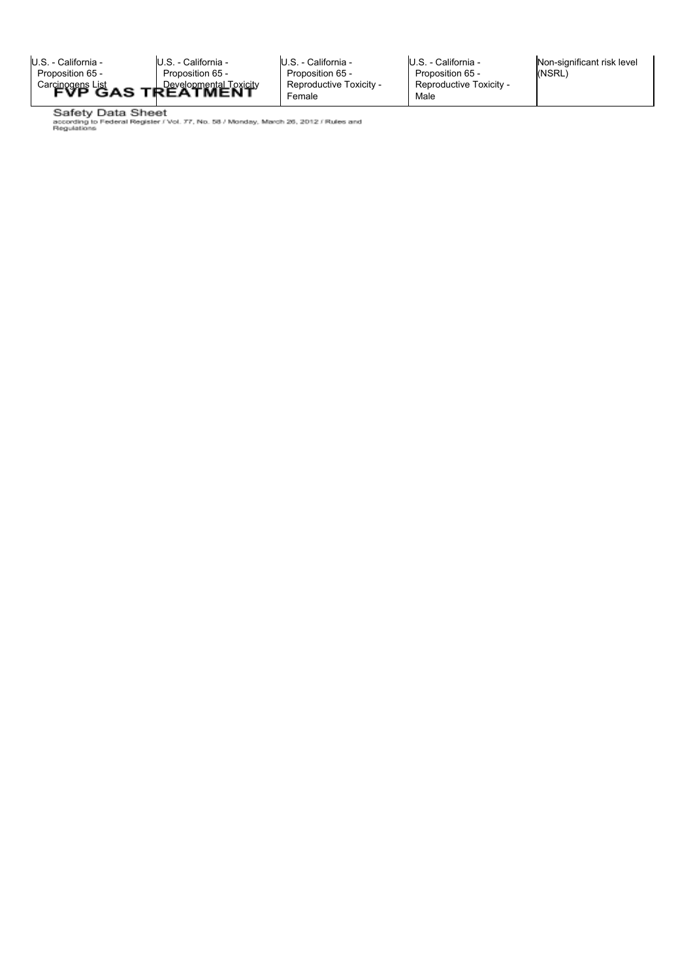

U.S. - California -Proposition 65 -Reproductive Toxicity -F e m ale

U.S. - California -Proposition 65 -Reproductive Toxicity -M ale

Non-significant risk level (NSRL)

Safety Data Sheet<br>according to Federal Register / Vol. 77, No. 58 / Monday, March 26, 2012 / Rules and<br>Regulations